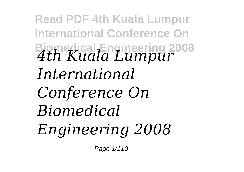**Read PDF 4th Kuala Lumpur International Conference On Biomedical Engineering 2008** *4th Kuala Lumpur International Conference On Biomedical Engineering 2008*

Page 1/110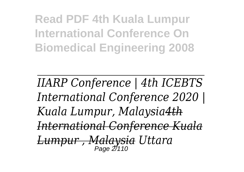**Read PDF 4th Kuala Lumpur International Conference On Biomedical Engineering 2008**

*IIARP Conference | 4th ICEBTS International Conference 2020 | Kuala Lumpur, Malaysia4th International Conference Kuala Lumpur , Malaysia Uttara* **Page 2/110**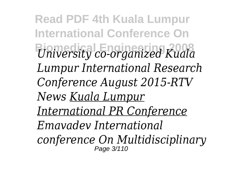**Read PDF 4th Kuala Lumpur International Conference On Biomedical Engineering 2008** *University co-organized Kuala Lumpur International Research Conference August 2015-RTV News Kuala Lumpur International PR Conference Emavadev International conference On Multidisciplinary* Page 3/110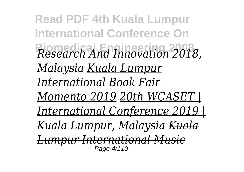**Read PDF 4th Kuala Lumpur International Conference On Biomedical Engineering 2008** *Research And Innovation 2018, Malaysia Kuala Lumpur International Book Fair Momento 2019 20th WCASET | International Conference 2019 | Kuala Lumpur, Malaysia Kuala Lumpur International Music* Page 4/110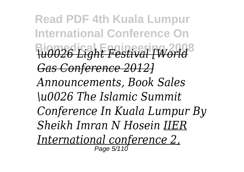**Read PDF 4th Kuala Lumpur International Conference On Biomedical Engineering 2008** *\u0026 Light Festival [World Gas Conference 2012] Announcements, Book Sales \u0026 The Islamic Summit Conference In Kuala Lumpur By Sheikh Imran N Hosein IIER International conference 2,* Page 5/110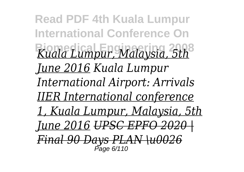**Read PDF 4th Kuala Lumpur International Conference On Biomedical Engineering 2008** *Kuala Lumpur, Malaysia, 5th June 2016 Kuala Lumpur International Airport: Arrivals IIER International conference 1, Kuala Lumpur, Malaysia, 5th <u>June 2016 UPSC EPFO 202</u> Final 90 Days PLAN \u00* Page 6/110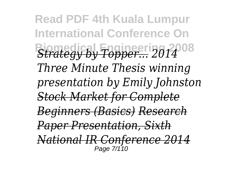**Read PDF 4th Kuala Lumpur International Conference On Biomedical Engineering 2008** *Strategy by Topper... <sup>2014</sup> Three Minute Thesis winning presentation by Emily Johnston Stock Market for Complete Beginners (Basics) Research Paper Presentation, Sixth National IR Conference 2014* Page 7/110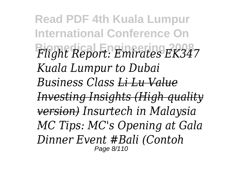**Read PDF 4th Kuala Lumpur International Conference On Biomedical Engineering 2008** *Flight Report: Emirates EK347 Kuala Lumpur to Dubai Business Class Li Lu Value Investing Insights (High quality version) Insurtech in Malaysia MC Tips: MC's Opening at Gala Dinner Event #Bali (Contoh* Page 8/110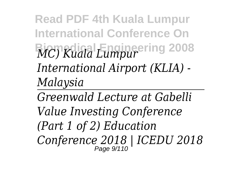**Read PDF 4th Kuala Lumpur International Conference On Biomedical Engineering 2008** *MC) Kuala Lumpur International Airport (KLIA) - Malaysia*

*Greenwald Lecture at Gabelli Value Investing Conference (Part 1 of 2) Education Conference 2018 | ICEDU 2018* Page 9/110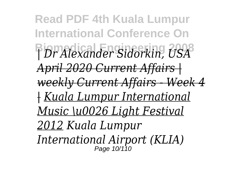**Read PDF 4th Kuala Lumpur International Conference On Biomedical Engineering 2008** *| Dr Alexander Sidorkin, USA April 2020 Current Affairs | weekly Current Affairs - Week 4 | Kuala Lumpur International Music \u0026 Light Festival 2012 Kuala Lumpur International Airport (KLIA)* Page 10/110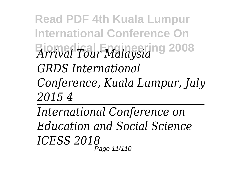**Read PDF 4th Kuala Lumpur International Conference On Biomedical Engineering 2008** *Arrival Tour Malaysia* 

*GRDS International*

*Conference, Kuala Lumpur, July 2015 4*

*International Conference on Education and Social Science ICESS 2018* Page 11/110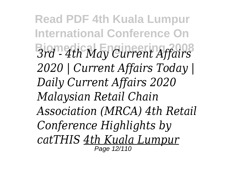**Read PDF 4th Kuala Lumpur International Conference On Biomedical Engineering 2008** *3rd - 4th May Current Affairs 2020 | Current Affairs Today | Daily Current Affairs 2020 Malaysian Retail Chain Association (MRCA) 4th Retail Conference Highlights by catTHIS 4th Kuala Lumpur* Page 12/110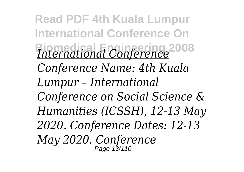**Read PDF 4th Kuala Lumpur International Conference On Biomedical Engineering 2008** *International Conference Conference Name: 4th Kuala Lumpur – International Conference on Social Science & Humanities (ICSSH), 12-13 May 2020. Conference Dates: 12-13 May 2020. Conference* Page 13/110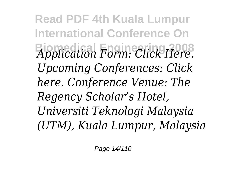**Read PDF 4th Kuala Lumpur International Conference On Biomedical Engineering 2008** *Application Form: Click Here. Upcoming Conferences: Click here. Conference Venue: The Regency Scholar's Hotel, Universiti Teknologi Malaysia (UTM), Kuala Lumpur, Malaysia*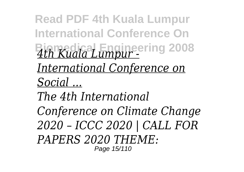**Read PDF 4th Kuala Lumpur International Conference On Biomedical Engineering 2008** *4th Kuala Lumpur - International Conference on Social ...*

*The 4th International Conference on Climate Change 2020 – ICCC 2020 | CALL FOR PAPERS 2020 THEME:* Page 15/110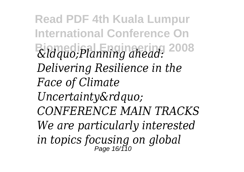**Read PDF 4th Kuala Lumpur International Conference On Biomedical Engineering 2008** *"Planning ahead: Delivering Resilience in the Face of Climate* Uncertainty" *CONFERENCE MAIN TRACKS We are particularly interested in topics focusing on global* Page 16/110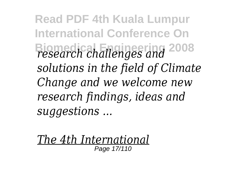**Read PDF 4th Kuala Lumpur International Conference On Biomedical Engineering 2008** *research challenges and solutions in the field of Climate Change and we welcome new research findings, ideas and suggestions ...*

*The 4th International* Page 17/110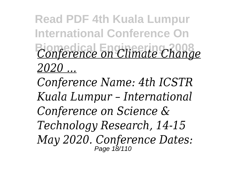## **Read PDF 4th Kuala Lumpur International Conference On Biomedical Engineering 2008** *Conference on Climate Change 2020 ...*

*Conference Name: 4th ICSTR Kuala Lumpur – International Conference on Science & Technology Research, 14-15 May 2020. Conference Dates:* Page 18/110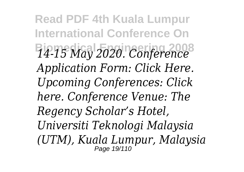**Read PDF 4th Kuala Lumpur International Conference On Biomedical Engineering 2008** *14-15 May 2020. Conference Application Form: Click Here. Upcoming Conferences: Click here. Conference Venue: The Regency Scholar's Hotel, Universiti Teknologi Malaysia (UTM), Kuala Lumpur, Malaysia* Page 19/110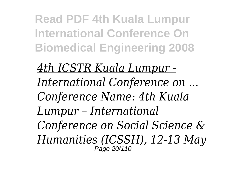**Read PDF 4th Kuala Lumpur International Conference On Biomedical Engineering 2008**

*4th ICSTR Kuala Lumpur - International Conference on ... Conference Name: 4th Kuala Lumpur – International Conference on Social Science & Humanities (ICSSH), 12-13 May* Page 20/110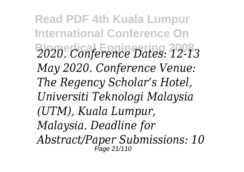**Read PDF 4th Kuala Lumpur International Conference On Biomedical Engineering 2008** *2020. Conference Dates: 12-13 May 2020. Conference Venue: The Regency Scholar's Hotel, Universiti Teknologi Malaysia (UTM), Kuala Lumpur, Malaysia. Deadline for Abstract/Paper Submissions: 10* Page 21/110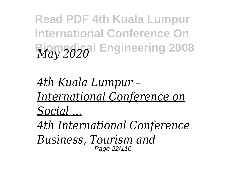**Read PDF 4th Kuala Lumpur International Conference On Biomedical Engineering 2008** *May 2020*

*4th Kuala Lumpur – International Conference on Social ...*

*4th International Conference Business, Tourism and* Page 22/110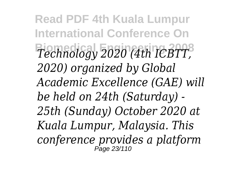**Read PDF 4th Kuala Lumpur International Conference On Biomedical Engineering 2008** *Technology 2020 (4th ICBTT, 2020) organized by Global Academic Excellence (GAE) will be held on 24th (Saturday) - 25th (Sunday) October 2020 at Kuala Lumpur, Malaysia. This conference provides a platform* Page 23/110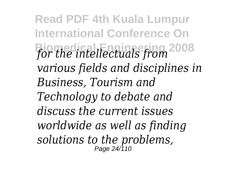**Read PDF 4th Kuala Lumpur International Conference On Biomedical Engineering 2008** *for the intellectuals from various fields and disciplines in Business, Tourism and Technology to debate and discuss the current issues worldwide as well as finding solutions to the problems,* Page 24/110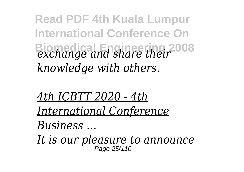**Read PDF 4th Kuala Lumpur International Conference On Biomedical Engineering 2008** *exchange and share their knowledge with others.*

*4th ICBTT 2020 - 4th International Conference Business ...*

*It is our pleasure to announce* Page 25/110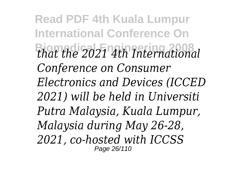**Read PDF 4th Kuala Lumpur International Conference On Biomedical Engineering 2008** *that the 2021 4th International Conference on Consumer Electronics and Devices (ICCED 2021) will be held in Universiti Putra Malaysia, Kuala Lumpur, Malaysia during May 26-28, 2021, co-hosted with ICCSS* Page 26/110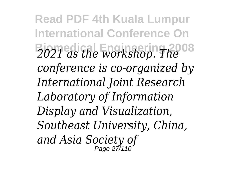**Read PDF 4th Kuala Lumpur International Conference On Biomedical Engineering 2008** *2021 as the workshop. The conference is co-organized by International Joint Research Laboratory of Information Display and Visualization, Southeast University, China, and Asia Society of* Page 27/110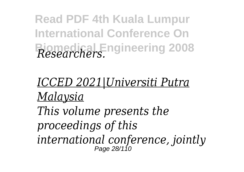**Read PDF 4th Kuala Lumpur International Conference On Biomedical Engineering 2008** *Researchers.*

## *ICCED 2021|Universiti Putra Malaysia This volume presents the proceedings of this international conference, jointly* Page 28/110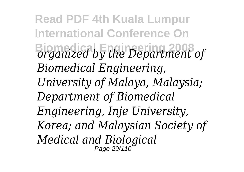**Read PDF 4th Kuala Lumpur International Conference On Biomedical Engineering 2008** *organized by the Department of Biomedical Engineering, University of Malaya, Malaysia; Department of Biomedical Engineering, Inje University, Korea; and Malaysian Society of Medical and Biological* Page 29/110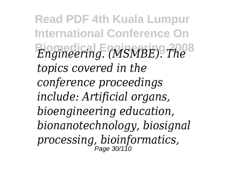**Read PDF 4th Kuala Lumpur International Conference On Biomedical Engineering 2008** *Engineering. (MSMBE). The topics covered in the conference proceedings include: Artificial organs, bioengineering education, bionanotechnology, biosignal processing, bioinformatics,* Page 30/110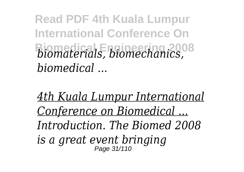**Read PDF 4th Kuala Lumpur International Conference On Biomedical Engineering 2008** *biomaterials, biomechanics, biomedical ...*

*4th Kuala Lumpur International Conference on Biomedical ... Introduction. The Biomed 2008 is a great event bringing* Page 31/110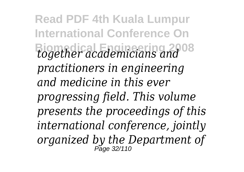**Read PDF 4th Kuala Lumpur International Conference On Biomedical Engineering 2008** *together academicians and practitioners in engineering and medicine in this ever progressing field. This volume presents the proceedings of this international conference, jointly organized by the Department of* Page 32/110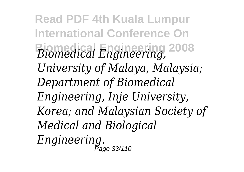**Read PDF 4th Kuala Lumpur International Conference On Biomedical Engineering 2008** *Biomedical Engineering, University of Malaya, Malaysia; Department of Biomedical Engineering, Inje University, Korea; and Malaysian Society of Medical and Biological Engineering.* Page 33/110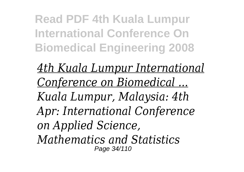**Read PDF 4th Kuala Lumpur International Conference On Biomedical Engineering 2008**

*4th Kuala Lumpur International Conference on Biomedical ... Kuala Lumpur, Malaysia: 4th Apr: International Conference on Applied Science, Mathematics and Statistics* Page 34/110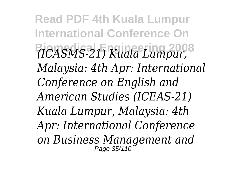**Read PDF 4th Kuala Lumpur International Conference On Biomedical Engineering 2008** *(ICASMS-21) Kuala Lumpur, Malaysia: 4th Apr: International Conference on English and American Studies (ICEAS-21) Kuala Lumpur, Malaysia: 4th Apr: International Conference on Business Management and* Page 35/110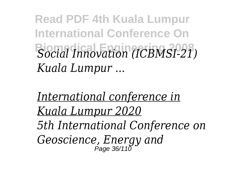**Read PDF 4th Kuala Lumpur International Conference On Biomedical Engineering 2008** *Social Innovation (ICBMSI-21) Kuala Lumpur ...*

*International conference in Kuala Lumpur 2020 5th International Conference on Geoscience, Energy and* Page 36/110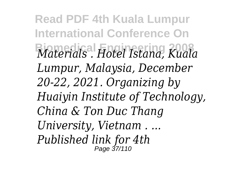**Read PDF 4th Kuala Lumpur International Conference On Biomedical Engineering 2008** *Materials . Hotel Istana, Kuala Lumpur, Malaysia, December 20-22, 2021. Organizing by Huaiyin Institute of Technology, China & Ton Duc Thang University, Vietnam . ... Published link for 4th* Page 37/110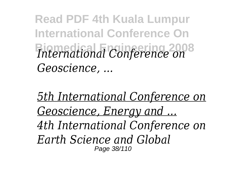**Read PDF 4th Kuala Lumpur International Conference On Biomedical Engineering 2008** *International Conference on Geoscience, ...*

*5th International Conference on Geoscience, Energy and ... 4th International Conference on Earth Science and Global* Page 38/110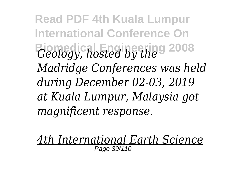**Read PDF 4th Kuala Lumpur International Conference On Biomedical Engineering 2008** *Geology, hosted by the Madridge Conferences was held during December 02-03, 2019 at Kuala Lumpur, Malaysia got magnificent response.*

*4th International Earth Science* Page 39/110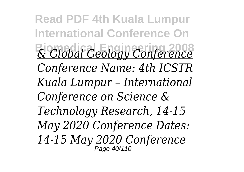**Read PDF 4th Kuala Lumpur International Conference On Biomedical Engineering 2008** *& Global Geology Conference Conference Name: 4th ICSTR Kuala Lumpur – International Conference on Science & Technology Research, 14-15 May 2020 Conference Dates: 14-15 May 2020 Conference* Page 40/110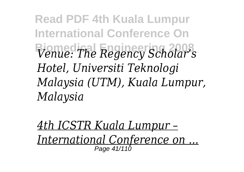**Read PDF 4th Kuala Lumpur International Conference On Biomedical Engineering 2008** *Venue: The Regency Scholar's Hotel, Universiti Teknologi Malaysia (UTM), Kuala Lumpur, Malaysia*

*4th ICSTR Kuala Lumpur – International Conference on ...* Page 41/110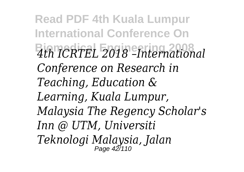**Read PDF 4th Kuala Lumpur International Conference On Biomedical Engineering 2008** *4th ICRTEL 2018 –International Conference on Research in Teaching, Education & Learning, Kuala Lumpur, Malaysia The Regency Scholar's Inn @ UTM, Universiti Teknologi Malaysia, Jalan* Page 42/110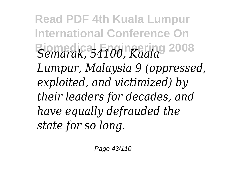**Read PDF 4th Kuala Lumpur International Conference On Biomedical Engineering 2008** *Semarak, 54100, Kuala Lumpur, Malaysia 9 (oppressed, exploited, and victimized) by their leaders for decades, and have equally defrauded the state for so long.*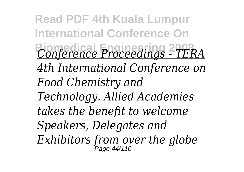**Read PDF 4th Kuala Lumpur International Conference On Biomedical Engineering 2008** *Conference Proceedings - TERA 4th International Conference on Food Chemistry and Technology. Allied Academies takes the benefit to welcome Speakers, Delegates and Exhibitors from over the globe* Page 44/110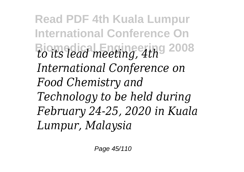**Read PDF 4th Kuala Lumpur International Conference On Biomedical Engineering 2008** *to its lead meeting, 4th International Conference on Food Chemistry and Technology to be held during February 24-25, 2020 in Kuala Lumpur, Malaysia*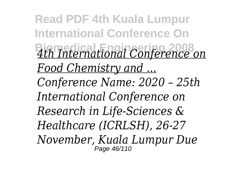**Read PDF 4th Kuala Lumpur International Conference On Biomedical Engineering 2008** *4th International Conference on Food Chemistry and ... Conference Name: 2020 – 25th International Conference on Research in Life-Sciences & Healthcare (ICRLSH), 26-27 November, Kuala Lumpur Due* Page 46/110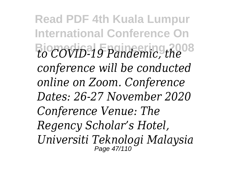**Read PDF 4th Kuala Lumpur International Conference On Biomedical Engineering 2008** *to COVID-19 Pandemic, the conference will be conducted online on Zoom. Conference Dates: 26-27 November 2020 Conference Venue: The Regency Scholar's Hotel, Universiti Teknologi Malaysia* Page 47/110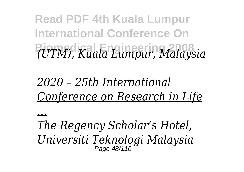**Read PDF 4th Kuala Lumpur International Conference On Biomedical Engineering 2008** *(UTM), Kuala Lumpur, Malaysia*

## *2020 – 25th International Conference on Research in Life*

*...*

*The Regency Scholar's Hotel, Universiti Teknologi Malaysia* Page 48/110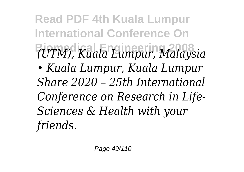**Read PDF 4th Kuala Lumpur International Conference On Biomedical Engineering 2008** *(UTM), Kuala Lumpur, Malaysia • Kuala Lumpur, Kuala Lumpur Share 2020 – 25th International Conference on Research in Life-Sciences & Health with your friends.*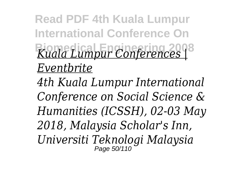**Read PDF 4th Kuala Lumpur International Conference On Biomedical Engineering 2008** *Kuala Lumpur Conferences | Eventbrite*

*4th Kuala Lumpur International Conference on Social Science & Humanities (ICSSH), 02-03 May 2018, Malaysia Scholar's Inn, Universiti Teknologi Malaysia* Page 50/110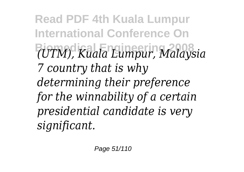**Read PDF 4th Kuala Lumpur International Conference On Biomedical Engineering 2008** *(UTM), Kuala Lumpur, Malaysia 7 country that is why determining their preference for the winnability of a certain presidential candidate is very significant.*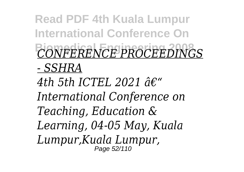**Read PDF 4th Kuala Lumpur International Conference On Biomedical Engineering 2008** *CONFERENCE PROCEEDINGS*

*- SSHRA*

4th 5th ICTEL 2021  $\hat{a}\epsilon$ " *International Conference on Teaching, Education & Learning, 04-05 May, Kuala Lumpur,Kuala Lumpur,* Page 52/110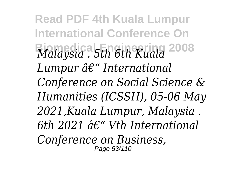**Read PDF 4th Kuala Lumpur International Conference On Biomedical Engineering 2008** *Malaysia . 5th 6th Kuala Lumpur â€*" International *Conference on Social Science & Humanities (ICSSH), 05-06 May 2021,Kuala Lumpur, Malaysia .* 6th 2021  $\hat{a}\epsilon$ " Vth International *Conference on Business,* Page 53/110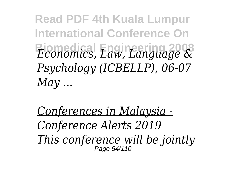**Read PDF 4th Kuala Lumpur International Conference On Biomedical Engineering 2008** *Economics, Law, Language & Psychology (ICBELLP), 06-07 May ...*

*Conferences in Malaysia - Conference Alerts 2019 This conference will be jointly* Page 54/110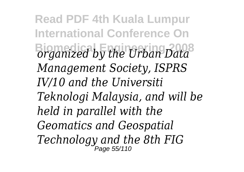**Read PDF 4th Kuala Lumpur International Conference On Biomedical Engineering 2008** *organized by the Urban Data Management Society, ISPRS IV/10 and the Universiti Teknologi Malaysia, and will be held in parallel with the Geomatics and Geospatial Technology and the 8th FIG* Page 55/110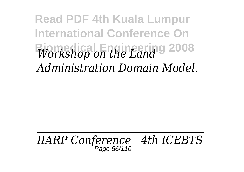**Read PDF 4th Kuala Lumpur International Conference On Biomedical Engineering 2008** *Workshop on the Land Administration Domain Model.*

*IIARP Conference | 4th ICEBTS* Page 56/110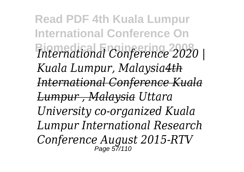**Read PDF 4th Kuala Lumpur International Conference On Biomedical Engineering 2008** *International Conference 2020 | Kuala Lumpur, Malaysia4th International Conference Kuala Lumpur , Malaysia Uttara University co-organized Kuala Lumpur International Research Conference August 2015-RTV* Page 57/110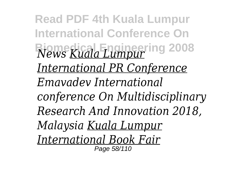**Read PDF 4th Kuala Lumpur International Conference On Biomedical Engineering 2008** *News Kuala Lumpur International PR Conference Emavadev International conference On Multidisciplinary Research And Innovation 2018, Malaysia Kuala Lumpur International Book Fair* Page 58/110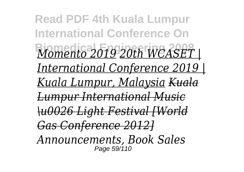**Read PDF 4th Kuala Lumpur International Conference On Biomedical Engineering 2008** *Momento 2019 20th WCASET | International Conference 2019 | Kuala Lumpur, Malaysia Kuala Lumpur International Music \u0026 Light Festival [World Gas Conference 2012] Announcements, Book Sales* Page 59/110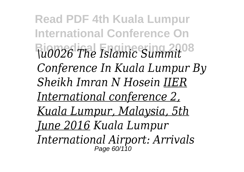**Read PDF 4th Kuala Lumpur International Conference On Biomedical Engineering 2008** *\u0026 The Islamic Summit Conference In Kuala Lumpur By Sheikh Imran N Hosein IIER International conference 2, Kuala Lumpur, Malaysia, 5th June 2016 Kuala Lumpur International Airport: Arrivals* Page 60/110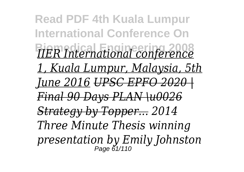**Read PDF 4th Kuala Lumpur International Conference On Biomedical Engineering 2008** *IIER International conference 1, Kuala Lumpur, Malaysia, 5th June 2016 UPSC EPFO 2020 | Final 90 Days PLAN \u0026 Strategy by Topper... 2014 Three Minute Thesis winning presentation by Emily Johnston* Page 61/110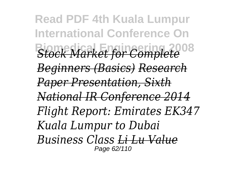**Read PDF 4th Kuala Lumpur International Conference On Biomedical Engineering 2008** *Stock Market for Complete Beginners (Basics) Research Paper Presentation, Sixth National IR Conference 2014 Flight Report: Emirates EK347 Kuala Lumpur to Dubai Business Class Li Lu Value* Page 62/110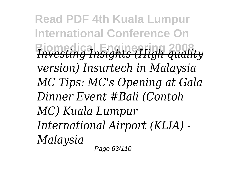**Read PDF 4th Kuala Lumpur International Conference On Biomedical Engineering 2008** *Investing Insights (High quality version) Insurtech in Malaysia MC Tips: MC's Opening at Gala Dinner Event #Bali (Contoh MC) Kuala Lumpur International Airport (KLIA) - Malaysia*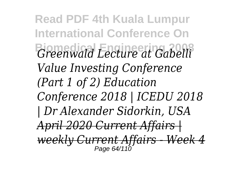**Read PDF 4th Kuala Lumpur International Conference On Biomedical Engineering 2008** *Greenwald Lecture at Gabelli Value Investing Conference (Part 1 of 2) Education Conference 2018 | ICEDU 2018 | Dr Alexander Sidorkin, USA April 2020 Current Affairs | weekly Current Affairs - Week 4* Page 64/110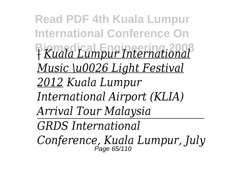**Read PDF 4th Kuala Lumpur International Conference On Biomedical Engineering 2008** *<sup>|</sup> Kuala Lumpur International Music \u0026 Light Festival 2012 Kuala Lumpur International Airport (KLIA) Arrival Tour Malaysia GRDS International Conference, Kuala Lumpur, July* Page 65/110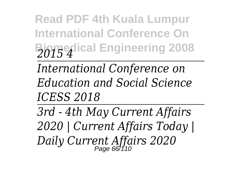**Read PDF 4th Kuala Lumpur International Conference On Biomedical Engineering 2008** *2015 4*

*International Conference on Education and Social Science ICESS 2018*

*3rd - 4th May Current Affairs 2020 | Current Affairs Today | Daily Current Affairs 2020* Page 66/110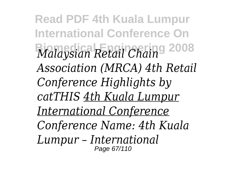**Read PDF 4th Kuala Lumpur International Conference On Biomedical Engineering 2008** *Malaysian Retail Chain Association (MRCA) 4th Retail Conference Highlights by catTHIS 4th Kuala Lumpur International Conference Conference Name: 4th Kuala Lumpur – International* Page 67/110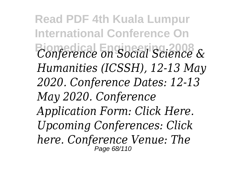**Read PDF 4th Kuala Lumpur International Conference On Biomedical Engineering 2008** *Conference on Social Science & Humanities (ICSSH), 12-13 May 2020. Conference Dates: 12-13 May 2020. Conference Application Form: Click Here. Upcoming Conferences: Click here. Conference Venue: The* Page 68/110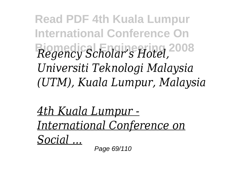**Read PDF 4th Kuala Lumpur International Conference On Biomedical Engineering 2008** *Regency Scholar's Hotel, Universiti Teknologi Malaysia (UTM), Kuala Lumpur, Malaysia*

*4th Kuala Lumpur - International Conference on Social ...*

Page 69/110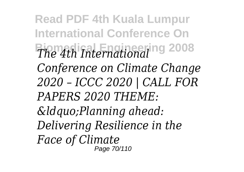**Read PDF 4th Kuala Lumpur International Conference On Biomedical Engineering 2008** *The 4th International Conference on Climate Change 2020 – ICCC 2020 | CALL FOR PAPERS 2020 THEME: "Planning ahead: Delivering Resilience in the Face of Climate* Page 70/110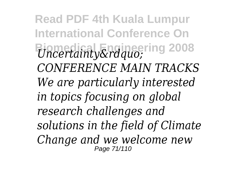**Read PDF 4th Kuala Lumpur International Conference On Biomeriainty"** 1008 *CONFERENCE MAIN TRACKS We are particularly interested in topics focusing on global research challenges and solutions in the field of Climate Change and we welcome new* Page 71/110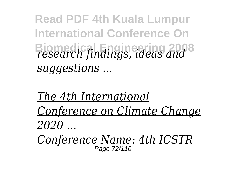**Read PDF 4th Kuala Lumpur International Conference On Biomedical Engineering 2008** *research findings, ideas and suggestions ...*

*The 4th International Conference on Climate Change 2020 ...*

*Conference Name: 4th ICSTR* Page 72/110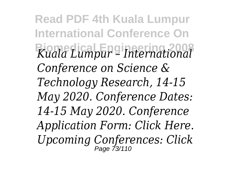**Read PDF 4th Kuala Lumpur International Conference On Biomedical Engineering 2008** *Kuala Lumpur – International Conference on Science & Technology Research, 14-15 May 2020. Conference Dates: 14-15 May 2020. Conference Application Form: Click Here. Upcoming Conferences: Click* Page 73/110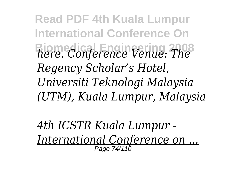**Read PDF 4th Kuala Lumpur International Conference On Biomedical Engineering 2008** *here. Conference Venue: The Regency Scholar's Hotel, Universiti Teknologi Malaysia (UTM), Kuala Lumpur, Malaysia*

*4th ICSTR Kuala Lumpur - International Conference on ...* Page 74/110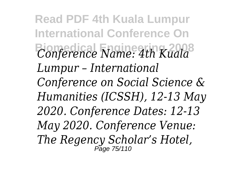**Read PDF 4th Kuala Lumpur International Conference On Biomedical Engineering 2008** *Conference Name: 4th Kuala Lumpur – International Conference on Social Science & Humanities (ICSSH), 12-13 May 2020. Conference Dates: 12-13 May 2020. Conference Venue: The Regency Scholar's Hotel,* Page 75/110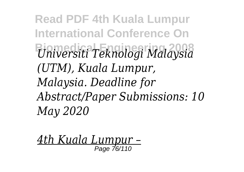**Read PDF 4th Kuala Lumpur International Conference On Biomedical Engineering 2008** *Universiti Teknologi Malaysia (UTM), Kuala Lumpur, Malaysia. Deadline for Abstract/Paper Submissions: 10 May 2020*

*4th Kuala Lumpur –* Page 76/110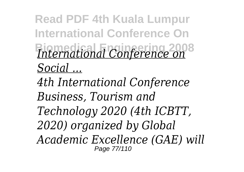**Read PDF 4th Kuala Lumpur International Conference On Biomedical Engineering 2008** *International Conference on Social ...*

*4th International Conference Business, Tourism and Technology 2020 (4th ICBTT, 2020) organized by Global Academic Excellence (GAE) will* Page 77/110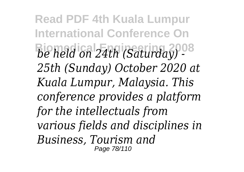**Read PDF 4th Kuala Lumpur International Conference On Biomedical Engineering 2008** *be held on 24th (Saturday) - 25th (Sunday) October 2020 at Kuala Lumpur, Malaysia. This conference provides a platform for the intellectuals from various fields and disciplines in Business, Tourism and* Page 78/110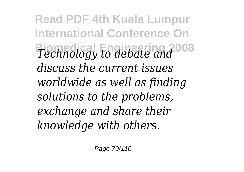**Read PDF 4th Kuala Lumpur International Conference On Biomedical Engineering 2008** *Technology to debate and discuss the current issues worldwide as well as finding solutions to the problems, exchange and share their knowledge with others.*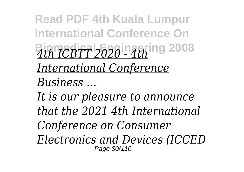**Read PDF 4th Kuala Lumpur International Conference On Biomedical Engineering 2008** *4th ICBTT 2020 - 4th International Conference Business ...*

*It is our pleasure to announce that the 2021 4th International Conference on Consumer Electronics and Devices (ICCED* Page 80/110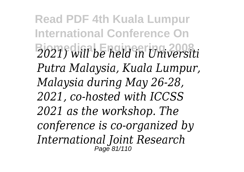**Read PDF 4th Kuala Lumpur International Conference On Biomedical Engineering 2008** *2021) will be held in Universiti Putra Malaysia, Kuala Lumpur, Malaysia during May 26-28, 2021, co-hosted with ICCSS 2021 as the workshop. The conference is co-organized by International Joint Research* Page 81/110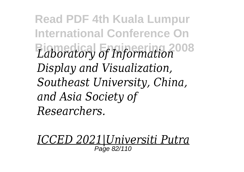**Read PDF 4th Kuala Lumpur International Conference On Biomedical Engineering 2008** *Laboratory of Information Display and Visualization, Southeast University, China, and Asia Society of Researchers.*

*ICCED 2021|Universiti Putra* Page 82/110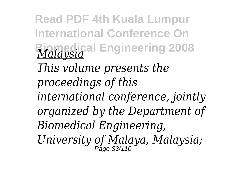**Read PDF 4th Kuala Lumpur International Conference On Biomedical Engineering 2008** *Malaysia This volume presents the proceedings of this international conference, jointly organized by the Department of Biomedical Engineering, University of Malaya, Malaysia;* Page 83/110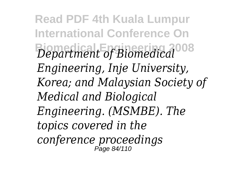**Read PDF 4th Kuala Lumpur International Conference On Biomedical Engineering 2008** *Department of Biomedical Engineering, Inje University, Korea; and Malaysian Society of Medical and Biological Engineering. (MSMBE). The topics covered in the conference proceedings* Page 84/110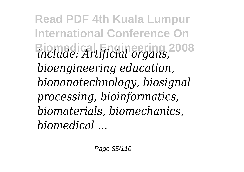**Read PDF 4th Kuala Lumpur International Conference On Biomedical Engineering 2008** *include: Artificial organs, bioengineering education, bionanotechnology, biosignal processing, bioinformatics, biomaterials, biomechanics, biomedical ...*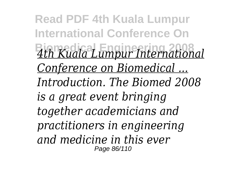**Read PDF 4th Kuala Lumpur International Conference On Biomedical Engineering 2008** *4th Kuala Lumpur International Conference on Biomedical ... Introduction. The Biomed 2008 is a great event bringing together academicians and practitioners in engineering and medicine in this ever* Page 86/110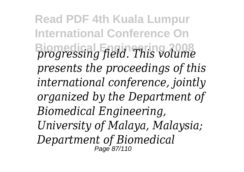**Read PDF 4th Kuala Lumpur International Conference On Biomedical Engineering 2008** *progressing field. This volume presents the proceedings of this international conference, jointly organized by the Department of Biomedical Engineering, University of Malaya, Malaysia; Department of Biomedical* Page 87/110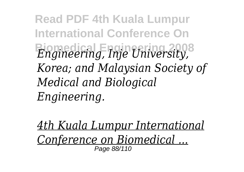**Read PDF 4th Kuala Lumpur International Conference On Biomedical Engineering 2008** *Engineering, Inje University, Korea; and Malaysian Society of Medical and Biological Engineering.*

*4th Kuala Lumpur International Conference on Biomedical ...* Page 88/110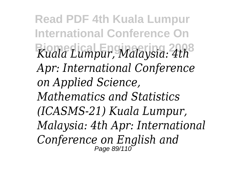**Read PDF 4th Kuala Lumpur International Conference On Biomedical Engineering 2008** *Kuala Lumpur, Malaysia: 4th Apr: International Conference on Applied Science, Mathematics and Statistics (ICASMS-21) Kuala Lumpur, Malaysia: 4th Apr: International Conference on English and* Page 89/110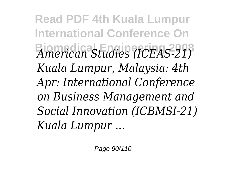**Read PDF 4th Kuala Lumpur International Conference On Biomedical Engineering 2008** *American Studies (ICEAS-21) Kuala Lumpur, Malaysia: 4th Apr: International Conference on Business Management and Social Innovation (ICBMSI-21) Kuala Lumpur ...*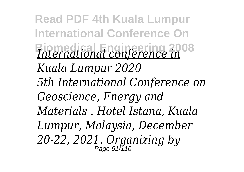**Read PDF 4th Kuala Lumpur International Conference On Biomedical Engineering 2008** *International conference in Kuala Lumpur 2020 5th International Conference on Geoscience, Energy and Materials . Hotel Istana, Kuala Lumpur, Malaysia, December 20-22, 2021. Organizing by* Page 91/110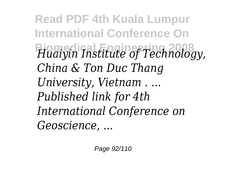**Read PDF 4th Kuala Lumpur International Conference On Biomedical Engineering 2008** *Huaiyin Institute of Technology, China & Ton Duc Thang University, Vietnam . ... Published link for 4th International Conference on Geoscience, ...*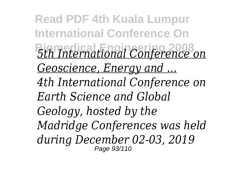**Read PDF 4th Kuala Lumpur International Conference On Biomedical Engineering 2008** *5th International Conference on Geoscience, Energy and ... 4th International Conference on Earth Science and Global Geology, hosted by the Madridge Conferences was held during December 02-03, 2019* Page 93/110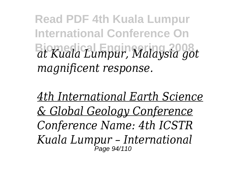**Read PDF 4th Kuala Lumpur International Conference On Biomedical Engineering 2008** *at Kuala Lumpur, Malaysia got magnificent response.*

*4th International Earth Science & Global Geology Conference Conference Name: 4th ICSTR Kuala Lumpur – International* Page 94/110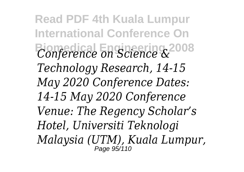**Read PDF 4th Kuala Lumpur International Conference On Biomedical Engineering 2008** *Conference on Science & Technology Research, 14-15 May 2020 Conference Dates: 14-15 May 2020 Conference Venue: The Regency Scholar's Hotel, Universiti Teknologi Malaysia (UTM), Kuala Lumpur,* Page 95/110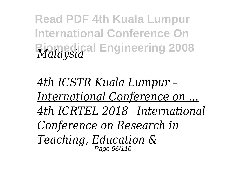**Read PDF 4th Kuala Lumpur International Conference On Biomedical Engineering 2008** *Malaysia*

*4th ICSTR Kuala Lumpur – International Conference on ... 4th ICRTEL 2018 –International Conference on Research in Teaching, Education &* Page 96/110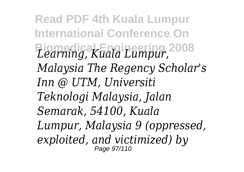**Read PDF 4th Kuala Lumpur International Conference On Biomedical Engineering 2008** *Learning, Kuala Lumpur, Malaysia The Regency Scholar's Inn @ UTM, Universiti Teknologi Malaysia, Jalan Semarak, 54100, Kuala Lumpur, Malaysia 9 (oppressed, exploited, and victimized) by* Page 97/110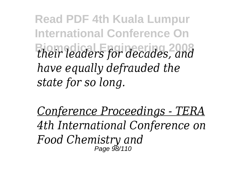**Read PDF 4th Kuala Lumpur International Conference On Biomedical Engineering 2008** *their leaders for decades, and have equally defrauded the state for so long.*

*Conference Proceedings - TERA 4th International Conference on Food Chemistry and* Page 98/110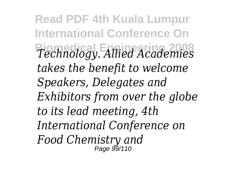**Read PDF 4th Kuala Lumpur International Conference On Biomedical Engineering 2008** *Technology. Allied Academies takes the benefit to welcome Speakers, Delegates and Exhibitors from over the globe to its lead meeting, 4th International Conference on Food Chemistry and* Page 99/110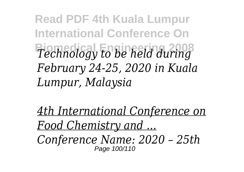**Read PDF 4th Kuala Lumpur International Conference On Biomedical Engineering 2008** *Technology to be held during February 24-25, 2020 in Kuala Lumpur, Malaysia*

*4th International Conference on Food Chemistry and ... Conference Name: 2020 – 25th* Page 100/110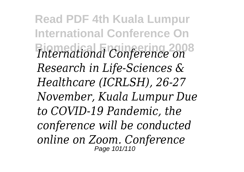**Read PDF 4th Kuala Lumpur International Conference On Biomedical Engineering 2008** *International Conference on Research in Life-Sciences & Healthcare (ICRLSH), 26-27 November, Kuala Lumpur Due to COVID-19 Pandemic, the conference will be conducted online on Zoom. Conference* Page 101/110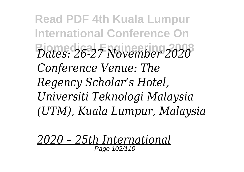**Read PDF 4th Kuala Lumpur International Conference On Biomedical Engineering 2008** *Dates: 26-27 November 2020 Conference Venue: The Regency Scholar's Hotel, Universiti Teknologi Malaysia (UTM), Kuala Lumpur, Malaysia*

*2020 – 25th International* Page 102/110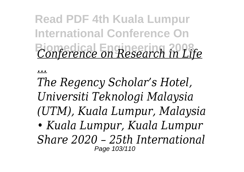## **Read PDF 4th Kuala Lumpur International Conference On Biomedical Engineering 2008** *Conference on Research in Life*

*...*

*The Regency Scholar's Hotel, Universiti Teknologi Malaysia (UTM), Kuala Lumpur, Malaysia • Kuala Lumpur, Kuala Lumpur Share 2020 – 25th International* Page 103/110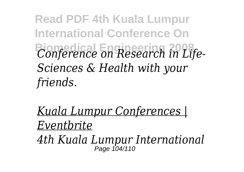**Read PDF 4th Kuala Lumpur International Conference On Biomedical Engineering 2008** *Conference on Research in Life-Sciences & Health with your friends.*

*Kuala Lumpur Conferences | Eventbrite*

*4th Kuala Lumpur International* Page 104/110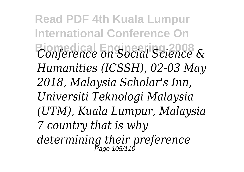**Read PDF 4th Kuala Lumpur International Conference On Biomedical Engineering 2008** *Conference on Social Science & Humanities (ICSSH), 02-03 May 2018, Malaysia Scholar's Inn, Universiti Teknologi Malaysia (UTM), Kuala Lumpur, Malaysia 7 country that is why determining their preference* Page 105/110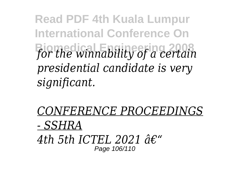**Read PDF 4th Kuala Lumpur International Conference On Biomedical Engineering 2008** *for the winnability of a certain presidential candidate is very significant.*

*CONFERENCE PROCEEDINGS - SSHRA* 4th 5th ICTEL 2021  $\hat{d}\epsilon$ " Page 106/110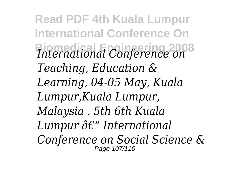**Read PDF 4th Kuala Lumpur International Conference On Biomedical Engineering 2008** *International Conference on Teaching, Education & Learning, 04-05 May, Kuala Lumpur,Kuala Lumpur, Malaysia . 5th 6th Kuala Lumpur*  $\hat{a}\epsilon$ *" International Conference on Social Science &* Page 107/110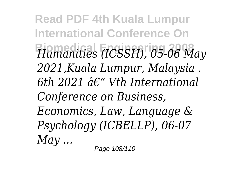**Read PDF 4th Kuala Lumpur International Conference On Biomedical Engineering 2008** *Humanities (ICSSH), 05-06 May 2021,Kuala Lumpur, Malaysia .*  $6th$  2021  $\hat{a}\epsilon$ " Vth International *Conference on Business, Economics, Law, Language & Psychology (ICBELLP), 06-07 May ...*

Page 108/110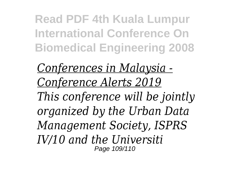**Read PDF 4th Kuala Lumpur International Conference On Biomedical Engineering 2008**

*Conferences in Malaysia - Conference Alerts 2019 This conference will be jointly organized by the Urban Data Management Society, ISPRS IV/10 and the Universiti* Page 109/110